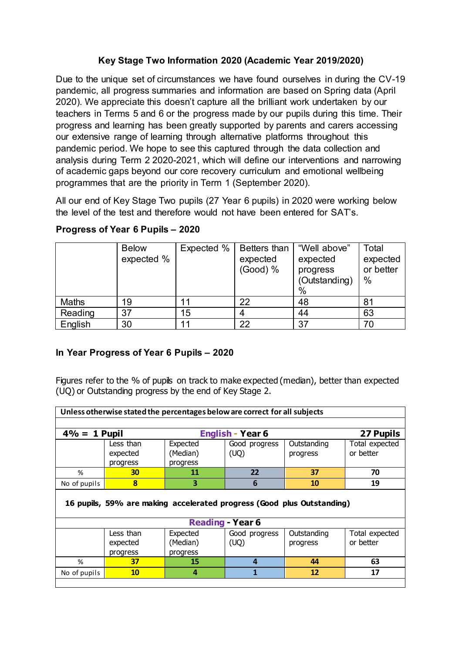## **Key Stage Two Information 2020 (Academic Year 2019/2020)**

Due to the unique set of circumstances we have found ourselves in during the CV-19 pandemic, all progress summaries and information are based on Spring data (April 2020). We appreciate this doesn't capture all the brilliant work undertaken by our teachers in Terms 5 and 6 or the progress made by our pupils during this time. Their progress and learning has been greatly supported by parents and carers accessing our extensive range of learning through alternative platforms throughout this pandemic period. We hope to see this captured through the data collection and analysis during Term 2 2020-2021, which will define our interventions and narrowing of academic gaps beyond our core recovery curriculum and emotional wellbeing programmes that are the priority in Term 1 (September 2020).

All our end of Key Stage Two pupils (27 Year 6 pupils) in 2020 were working below the level of the test and therefore would not have been entered for SAT's.

|              | <b>Below</b> | Expected % | Betters than         | "Well above"                               | Total                      |
|--------------|--------------|------------|----------------------|--------------------------------------------|----------------------------|
|              | expected %   |            | expected<br>(Good) % | expected<br>progress<br>(Outstanding)<br>% | expected<br>or better<br>% |
| <b>Maths</b> | 19           |            | 22                   | 48                                         | 81                         |
| Reading      | 37           | 15         |                      | 44                                         | 63                         |
| English      | 30           |            | 22                   | 37                                         | 70                         |

## **Progress of Year 6 Pupils – 2020**

## **In Year Progress of Year 6 Pupils – 2020**

Figures refer to the % of pupils on track to make expected (median), better than expected (UQ) or Outstanding progress by the end of Key Stage 2.

| Unless otherwise stated the percentages below are correct for all subjects |           |          |                         |             |                |  |  |
|----------------------------------------------------------------------------|-----------|----------|-------------------------|-------------|----------------|--|--|
|                                                                            |           |          |                         |             |                |  |  |
| $4\% = 1$ Pupil                                                            |           |          | <b>English - Year 6</b> |             | 27 Pupils      |  |  |
|                                                                            | Less than | Expected | Good progress           | Outstanding | Total expected |  |  |
|                                                                            | expected  | (Median) | (UQ)                    | progress    | or better      |  |  |
|                                                                            | progress  | progress |                         |             |                |  |  |
| %                                                                          | 30        | 11       | 22                      | 37          | 70             |  |  |
| No of pupils                                                               | 8         | 3        | 6                       | 10          | 19             |  |  |
| 16 pupils, 59% are making accelerated progress (Good plus Outstanding)     |           |          |                         |             |                |  |  |
|                                                                            |           |          |                         |             |                |  |  |
|                                                                            |           |          | <b>Reading - Year 6</b> |             |                |  |  |
|                                                                            | Less than | Expected | Good progress           | Outstanding | Total expected |  |  |
|                                                                            | expected  | (Median) | (UQ)                    | progress    | or better      |  |  |
|                                                                            | progress  | progress |                         |             |                |  |  |
| %                                                                          | 37        | 15       | $\boldsymbol{a}$        | 44          | 63             |  |  |
| No of pupils                                                               | <b>10</b> | 4        |                         | 12          | 17             |  |  |